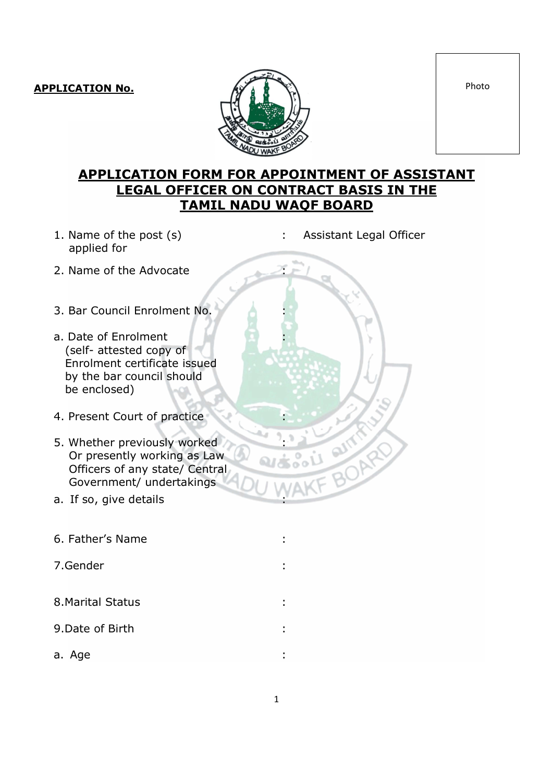

## APPLICATION FORM FOR APPOINTMENT OF ASSISTANT LEGAL OFFICER ON CONTRACT BASIS IN THE TAMIL NADU WAQF BOARD

: Assistant Legal Officer

:

 $\mathcal{L} \subset \mathbb{R}^n \times \mathbb{R}^n$ 

- 1. Name of the post (s) applied for
- 2. Name of the Advocate
- 3. Bar Council Enrolment No.
- a. Date of Enrolment (self- attested copy of Enrolment certificate issued by the bar council should be enclosed)
- 4. Present Court of practice
- 5. Whether previously worked Or presently working as Law Officers of any state/ Central Government/ undertakings
- a. If so, give details
- 6. Father's Name :
- 7.Gender :
- 8.Marital Status :
- 9.Date of Birth :
- a. Age is a set of the set of the set of the set of the set of the set of the set of the set of the set of the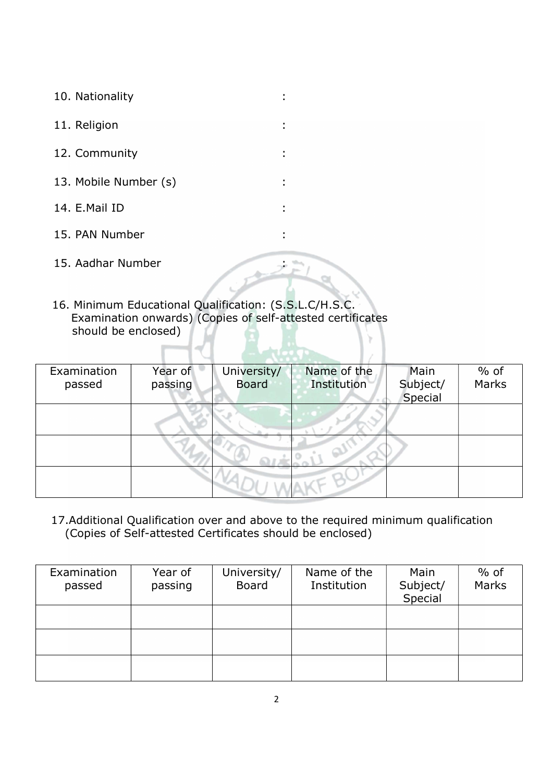- 10. Nationality
- 11. Religion :
- 12. Community :
- 13. Mobile Number (s)
- 14. E.Mail ID :
- 15. PAN Number :
- 15. Aadhar Number :
- 16. Minimum Educational Qualification: (S.S.L.C/H.S.C. Examination onwards) (Copies of self-attested certificates should be enclosed)

| Examination<br>passed | Year of<br>passing | University/<br><b>Board</b> | Name of the<br>Institution | Main<br>Subject/<br>Special | $%$ of<br>Marks |
|-----------------------|--------------------|-----------------------------|----------------------------|-----------------------------|-----------------|
|                       |                    |                             |                            |                             |                 |
|                       |                    |                             |                            |                             |                 |
|                       |                    |                             |                            |                             |                 |

:

 17.Additional Qualification over and above to the required minimum qualification (Copies of Self-attested Certificates should be enclosed)

| Examination<br>passed | Year of<br>passing | University/<br><b>Board</b> | Name of the<br>Institution | Main<br>Subject/<br>Special | $%$ of<br>Marks |
|-----------------------|--------------------|-----------------------------|----------------------------|-----------------------------|-----------------|
|                       |                    |                             |                            |                             |                 |
|                       |                    |                             |                            |                             |                 |
|                       |                    |                             |                            |                             |                 |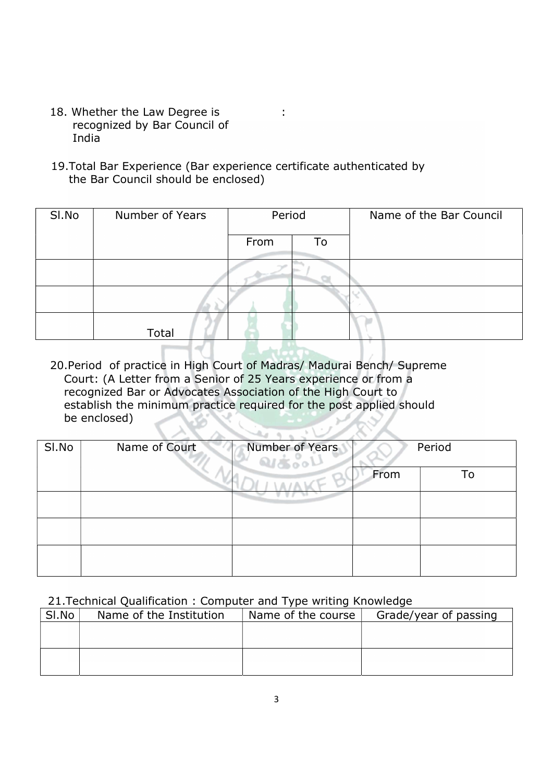- 18. Whether the Law Degree is recognized by Bar Council of India
- 19.Total Bar Experience (Bar experience certificate authenticated by the Bar Council should be enclosed)

| SI.No | Number of Years | Period |    | Name of the Bar Council |
|-------|-----------------|--------|----|-------------------------|
|       |                 | From   | To |                         |
|       |                 |        |    |                         |
|       |                 |        |    |                         |
|       | Total           |        |    |                         |

:

 20.Period of practice in High Court of Madras/ Madurai Bench/ Supreme Court: (A Letter from a Senior of 25 Years experience or from a recognized Bar or Advocates Association of the High Court to establish the minimum practice required for the post applied should be enclosed)

| SI.No | Name of Court | Number of Years | Period |    |
|-------|---------------|-----------------|--------|----|
|       |               |                 | From   | To |
|       |               |                 |        |    |
|       |               |                 |        |    |
|       |               |                 |        |    |

21.Technical Qualification : Computer and Type writing Knowledge

| SI.No | Name of the Institution | Name of the course | Grade/year of passing |
|-------|-------------------------|--------------------|-----------------------|
|       |                         |                    |                       |
|       |                         |                    |                       |
|       |                         |                    |                       |
|       |                         |                    |                       |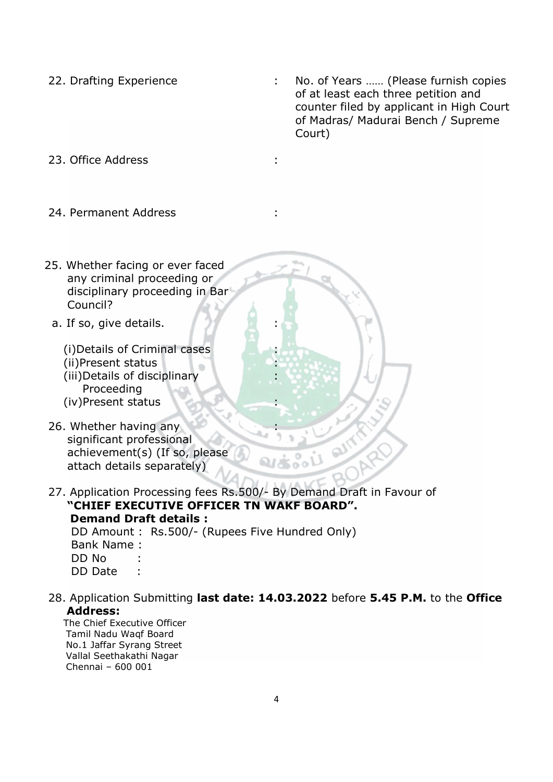- 
- 22. Drafting Experience : No. of Years ...... (Please furnish copies of at least each three petition and counter filed by applicant in High Court of Madras/ Madurai Bench / Supreme Court)

23. Office Address :

- 24. Permanent Address
- 25. Whether facing or ever faced any criminal proceeding or disciplinary proceeding in Bar Council?
	- a. If so, give details.

 (i)Details of Criminal cases (ii)Present status (iii)Details of disciplinary Proceeding (iv)Present status

- 26. Whether having any significant professional achievement(s) (If so, please attach details separately)
- 27. Application Processing fees Rs.500/- By Demand Draft in Favour of "CHIEF EXECUTIVE OFFICER TN WAKF BOARD".

 Demand Draft details : DD Amount : Rs.500/- (Rupees Five Hundred Only) Bank Name : DD No : DD Date :

 28. Application Submitting last date: 14.03.2022 before 5.45 P.M. to the Office Address:

:

:

 : : :

:

:

 The Chief Executive Officer Tamil Nadu Waqf Board No.1 Jaffar Syrang Street Vallal Seethakathi Nagar Chennai – 600 001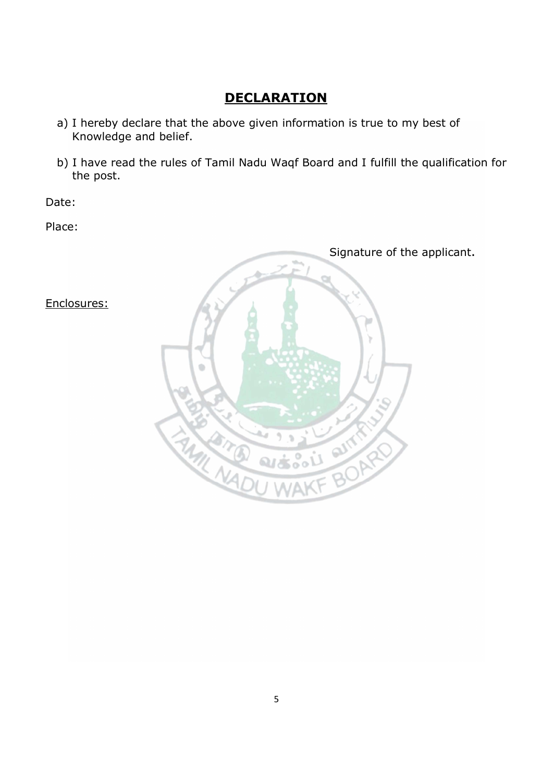# **DECLARATION**

- a) I hereby declare that the above given information is true to my best of Knowledge and belief.
- b) I have read the rules of Tamil Nadu Waqf Board and I fulfill the qualification for the post.

Date:

Place:



Enclosures: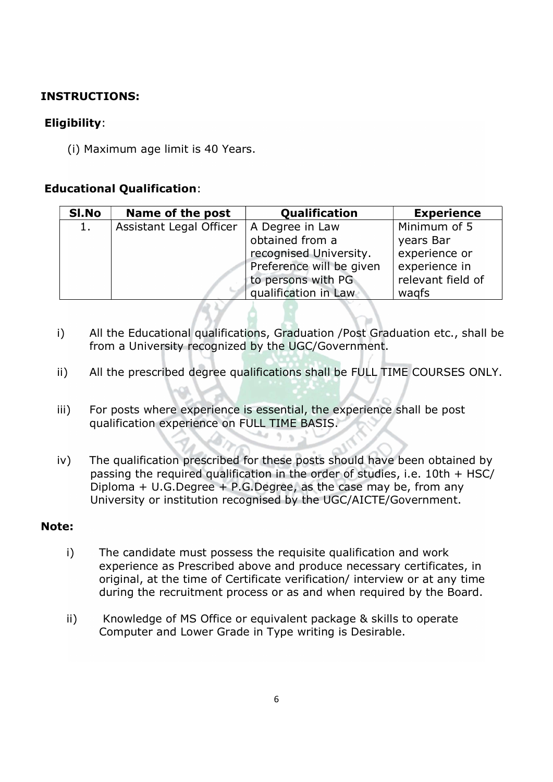#### INSTRUCTIONS:

### Eligibility:

(i) Maximum age limit is 40 Years.

#### Educational Qualification:

| SI.No | Name of the post        | <b>Qualification</b>     | <b>Experience</b> |
|-------|-------------------------|--------------------------|-------------------|
| 1.    | Assistant Legal Officer | A Degree in Law          | Minimum of 5      |
|       |                         | obtained from a          | years Bar         |
|       |                         | recognised University.   | experience or     |
|       |                         | Preference will be given | experience in     |
|       |                         | to persons with PG       | relevant field of |
|       |                         | qualification in Law     | wagfs             |

- i) All the Educational qualifications, Graduation /Post Graduation etc., shall be from a University recognized by the UGC/Government.
- ii) All the prescribed degree qualifications shall be FULL TIME COURSES ONLY.
- iii) For posts where experience is essential, the experience shall be post qualification experience on FULL TIME BASIS. مناك
- iv) The qualification prescribed for these posts should have been obtained by passing the required qualification in the order of studies, i.e. 10th + HSC/ Diploma + U.G.Degree + P.G.Degree, as the case may be, from any University or institution recognised by the UGC/AICTE/Government.

#### Note:

- i) The candidate must possess the requisite qualification and work experience as Prescribed above and produce necessary certificates, in original, at the time of Certificate verification/ interview or at any time during the recruitment process or as and when required by the Board.
- ii) Knowledge of MS Office or equivalent package & skills to operate Computer and Lower Grade in Type writing is Desirable.